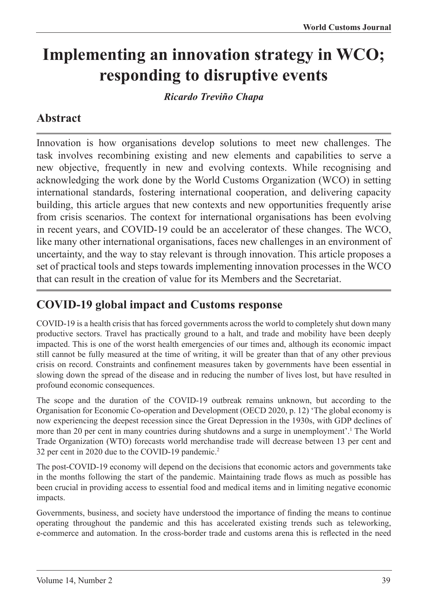# **Implementing an innovation strategy in WCO; responding to disruptive events**

*Ricardo Treviño Chapa*

### **Abstract**

Innovation is how organisations develop solutions to meet new challenges. The task involves recombining existing and new elements and capabilities to serve a new objective, frequently in new and evolving contexts. While recognising and acknowledging the work done by the World Customs Organization (WCO) in setting international standards, fostering international cooperation, and delivering capacity building, this article argues that new contexts and new opportunities frequently arise from crisis scenarios. The context for international organisations has been evolving in recent years, and COVID-19 could be an accelerator of these changes. The WCO, like many other international organisations, faces new challenges in an environment of uncertainty, and the way to stay relevant is through innovation. This article proposes a set of practical tools and steps towards implementing innovation processes in the WCO that can result in the creation of value for its Members and the Secretariat.

#### **COVID-19 global impact and Customs response**

COVID-19 is a health crisis that has forced governments across the world to completely shut down many productive sectors. Travel has practically ground to a halt, and trade and mobility have been deeply impacted. This is one of the worst health emergencies of our times and, although its economic impact still cannot be fully measured at the time of writing, it will be greater than that of any other previous crisis on record. Constraints and confinement measures taken by governments have been essential in slowing down the spread of the disease and in reducing the number of lives lost, but have resulted in profound economic consequences.

The scope and the duration of the COVID-19 outbreak remains unknown, but according to the Organisation for Economic Co-operation and Development (OECD 2020, p. 12) 'The global economy is now experiencing the deepest recession since the Great Depression in the 1930s, with GDP declines of more than 20 per cent in many countries during shutdowns and a surge in unemployment'.<sup>1</sup> The World Trade Organization (WTO) forecasts world merchandise trade will decrease between 13 per cent and 32 per cent in 2020 due to the COVID-19 pandemic.2

The post-COVID-19 economy will depend on the decisions that economic actors and governments take in the months following the start of the pandemic. Maintaining trade flows as much as possible has been crucial in providing access to essential food and medical items and in limiting negative economic impacts.

Governments, business, and society have understood the importance of finding the means to continue operating throughout the pandemic and this has accelerated existing trends such as teleworking, e-commerce and automation. In the cross-border trade and customs arena this is reflected in the need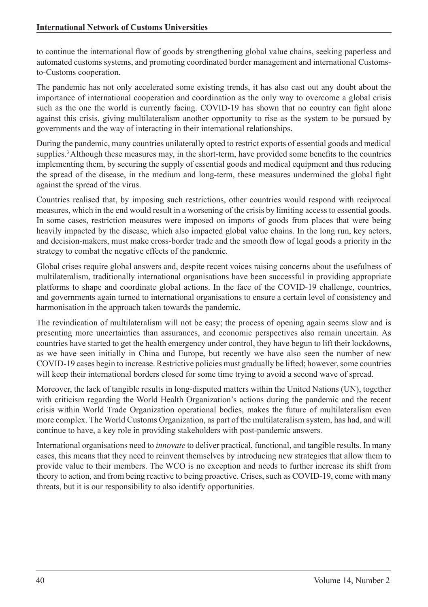to continue the international flow of goods by strengthening global value chains, seeking paperless and automated customs systems, and promoting coordinated border management and international Customsto-Customs cooperation.

The pandemic has not only accelerated some existing trends, it has also cast out any doubt about the importance of international cooperation and coordination as the only way to overcome a global crisis such as the one the world is currently facing. COVID-19 has shown that no country can fight alone against this crisis, giving multilateralism another opportunity to rise as the system to be pursued by governments and the way of interacting in their international relationships.

During the pandemic, many countries unilaterally opted to restrict exports of essential goods and medical supplies.<sup>3</sup> Although these measures may, in the short-term, have provided some benefits to the countries implementing them, by securing the supply of essential goods and medical equipment and thus reducing the spread of the disease, in the medium and long-term, these measures undermined the global fight against the spread of the virus.

Countries realised that, by imposing such restrictions, other countries would respond with reciprocal measures, which in the end would result in a worsening of the crisis by limiting access to essential goods. In some cases, restriction measures were imposed on imports of goods from places that were being heavily impacted by the disease, which also impacted global value chains. In the long run, key actors, and decision-makers, must make cross-border trade and the smooth flow of legal goods a priority in the strategy to combat the negative effects of the pandemic.

Global crises require global answers and, despite recent voices raising concerns about the usefulness of multilateralism, traditionally international organisations have been successful in providing appropriate platforms to shape and coordinate global actions. In the face of the COVID-19 challenge, countries, and governments again turned to international organisations to ensure a certain level of consistency and harmonisation in the approach taken towards the pandemic.

The revindication of multilateralism will not be easy; the process of opening again seems slow and is presenting more uncertainties than assurances, and economic perspectives also remain uncertain. As countries have started to get the health emergency under control, they have begun to lift their lockdowns, as we have seen initially in China and Europe, but recently we have also seen the number of new COVID-19 cases begin to increase. Restrictive policies must gradually be lifted; however, some countries will keep their international borders closed for some time trying to avoid a second wave of spread.

Moreover, the lack of tangible results in long-disputed matters within the United Nations (UN), together with criticism regarding the World Health Organization's actions during the pandemic and the recent crisis within World Trade Organization operational bodies, makes the future of multilateralism even more complex. The World Customs Organization, as part of the multilateralism system, has had, and will continue to have, a key role in providing stakeholders with post-pandemic answers.

International organisations need to *innovate* to deliver practical, functional, and tangible results. In many cases, this means that they need to reinvent themselves by introducing new strategies that allow them to provide value to their members. The WCO is no exception and needs to further increase its shift from theory to action, and from being reactive to being proactive. Crises, such as COVID-19, come with many threats, but it is our responsibility to also identify opportunities.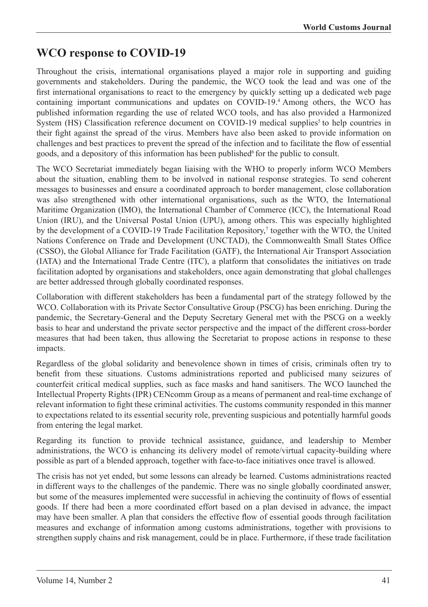#### **WCO response to COVID-19**

Throughout the crisis, international organisations played a major role in supporting and guiding governments and stakeholders. During the pandemic, the WCO took the lead and was one of the first international organisations to react to the emergency by quickly setting up a dedicated web page containing important communications and updates on COVID-19.4 Among others, the WCO has published information regarding the use of related WCO tools, and has also provided a Harmonized System (HS) Classification reference document on COVID-19 medical supplies<sup>5</sup> to help countries in their fight against the spread of the virus. Members have also been asked to provide information on challenges and best practices to prevent the spread of the infection and to facilitate the flow of essential goods, and a depository of this information has been published for the public to consult.

The WCO Secretariat immediately began liaising with the WHO to properly inform WCO Members about the situation, enabling them to be involved in national response strategies. To send coherent messages to businesses and ensure a coordinated approach to border management, close collaboration was also strengthened with other international organisations, such as the WTO, the International Maritime Organization (IMO), the International Chamber of Commerce (ICC), the International Road Union (IRU), and the Universal Postal Union (UPU), among others. This was especially highlighted by the development of a COVID-19 Trade Facilitation Repository,<sup>7</sup> together with the WTO, the United Nations Conference on Trade and Development (UNCTAD), the Commonwealth Small States Office (CSSO), the Global Alliance for Trade Facilitation (GATF), the International Air Transport Association (IATA) and the International Trade Centre (ITC), a platform that consolidates the initiatives on trade facilitation adopted by organisations and stakeholders, once again demonstrating that global challenges are better addressed through globally coordinated responses.

Collaboration with different stakeholders has been a fundamental part of the strategy followed by the WCO. Collaboration with its Private Sector Consultative Group (PSCG) has been enriching. During the pandemic, the Secretary-General and the Deputy Secretary General met with the PSCG on a weekly basis to hear and understand the private sector perspective and the impact of the different cross-border measures that had been taken, thus allowing the Secretariat to propose actions in response to these impacts.

Regardless of the global solidarity and benevolence shown in times of crisis, criminals often try to benefit from these situations. Customs administrations reported and publicised many seizures of counterfeit critical medical supplies, such as face masks and hand sanitisers. The WCO launched the Intellectual Property Rights (IPR) CENcomm Group as a means of permanent and real-time exchange of relevant information to fight these criminal activities. The customs community responded in this manner to expectations related to its essential security role, preventing suspicious and potentially harmful goods from entering the legal market.

Regarding its function to provide technical assistance, guidance, and leadership to Member administrations, the WCO is enhancing its delivery model of remote/virtual capacity-building where possible as part of a blended approach, together with face-to-face initiatives once travel is allowed.

The crisis has not yet ended, but some lessons can already be learned. Customs administrations reacted in different ways to the challenges of the pandemic. There was no single globally coordinated answer, but some of the measures implemented were successful in achieving the continuity of flows of essential goods. If there had been a more coordinated effort based on a plan devised in advance, the impact may have been smaller. A plan that considers the effective flow of essential goods through facilitation measures and exchange of information among customs administrations, together with provisions to strengthen supply chains and risk management, could be in place. Furthermore, if these trade facilitation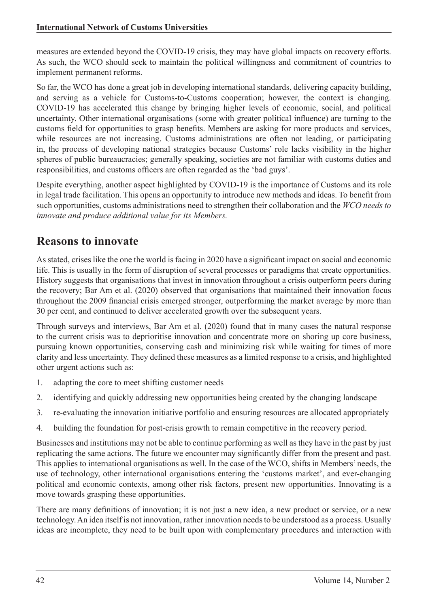measures are extended beyond the COVID-19 crisis, they may have global impacts on recovery efforts. As such, the WCO should seek to maintain the political willingness and commitment of countries to implement permanent reforms.

So far, the WCO has done a great job in developing international standards, delivering capacity building, and serving as a vehicle for Customs-to-Customs cooperation; however, the context is changing. COVID-19 has accelerated this change by bringing higher levels of economic, social, and political uncertainty. Other international organisations (some with greater political influence) are turning to the customs field for opportunities to grasp benefits. Members are asking for more products and services, while resources are not increasing. Customs administrations are often not leading, or participating in, the process of developing national strategies because Customs' role lacks visibility in the higher spheres of public bureaucracies; generally speaking, societies are not familiar with customs duties and responsibilities, and customs officers are often regarded as the 'bad guys'.

Despite everything, another aspect highlighted by COVID-19 is the importance of Customs and its role in legal trade facilitation. This opens an opportunity to introduce new methods and ideas. To benefit from such opportunities, customs administrations need to strengthen their collaboration and the *WCO needs to innovate and produce additional value for its Members.*

#### **Reasons to innovate**

As stated, crises like the one the world is facing in 2020 have a significant impact on social and economic life. This is usually in the form of disruption of several processes or paradigms that create opportunities. History suggests that organisations that invest in innovation throughout a crisis outperform peers during the recovery; Bar Am et al. (2020) observed that organisations that maintained their innovation focus throughout the 2009 financial crisis emerged stronger, outperforming the market average by more than 30 per cent, and continued to deliver accelerated growth over the subsequent years.

Through surveys and interviews, Bar Am et al. (2020) found that in many cases the natural response to the current crisis was to deprioritise innovation and concentrate more on shoring up core business, pursuing known opportunities, conserving cash and minimizing risk while waiting for times of more clarity and less uncertainty. They defined these measures as a limited response to a crisis, and highlighted other urgent actions such as:

- 1. adapting the core to meet shifting customer needs
- 2. identifying and quickly addressing new opportunities being created by the changing landscape
- 3. re-evaluating the innovation initiative portfolio and ensuring resources are allocated appropriately
- 4. building the foundation for post-crisis growth to remain competitive in the recovery period.

Businesses and institutions may not be able to continue performing as well as they have in the past by just replicating the same actions. The future we encounter may significantly differ from the present and past. This applies to international organisations as well. In the case of the WCO, shifts in Members' needs, the use of technology, other international organisations entering the 'customs market', and ever-changing political and economic contexts, among other risk factors, present new opportunities. Innovating is a move towards grasping these opportunities.

There are many definitions of innovation; it is not just a new idea, a new product or service, or a new technology. An idea itself is not innovation, rather innovation needs to be understood as a process. Usually ideas are incomplete, they need to be built upon with complementary procedures and interaction with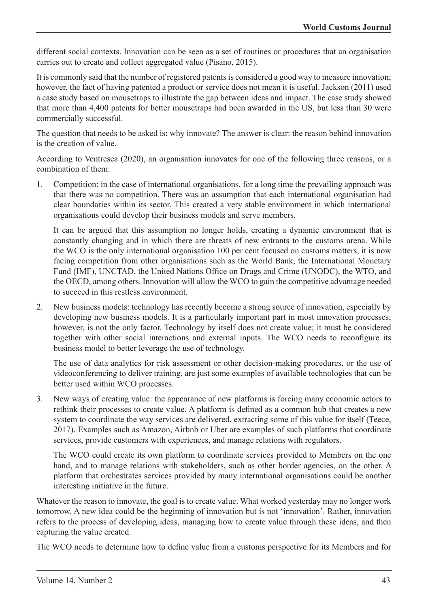different social contexts. Innovation can be seen as a set of routines or procedures that an organisation carries out to create and collect aggregated value (Pisano, 2015).

It is commonly said that the number of registered patents is considered a good way to measure innovation; however, the fact of having patented a product or service does not mean it is useful. Jackson (2011) used a case study based on mousetraps to illustrate the gap between ideas and impact. The case study showed that more than 4,400 patents for better mousetraps had been awarded in the US, but less than 30 were commercially successful.

The question that needs to be asked is: why innovate? The answer is clear: the reason behind innovation is the creation of value.

According to Ventresca (2020), an organisation innovates for one of the following three reasons, or a combination of them:

1. Competition: in the case of international organisations, for a long time the prevailing approach was that there was no competition. There was an assumption that each international organisation had clear boundaries within its sector. This created a very stable environment in which international organisations could develop their business models and serve members.

It can be argued that this assumption no longer holds, creating a dynamic environment that is constantly changing and in which there are threats of new entrants to the customs arena. While the WCO is the only international organisation 100 per cent focused on customs matters, it is now facing competition from other organisations such as the World Bank, the International Monetary Fund (IMF), UNCTAD, the United Nations Office on Drugs and Crime (UNODC), the WTO, and the OECD, among others. Innovation will allow the WCO to gain the competitive advantage needed to succeed in this restless environment.

2. New business models: technology has recently become a strong source of innovation, especially by developing new business models. It is a particularly important part in most innovation processes; however, is not the only factor. Technology by itself does not create value; it must be considered together with other social interactions and external inputs. The WCO needs to reconfigure its business model to better leverage the use of technology.

The use of data analytics for risk assessment or other decision-making procedures, or the use of videoconferencing to deliver training, are just some examples of available technologies that can be better used within WCO processes.

3. New ways of creating value: the appearance of new platforms is forcing many economic actors to rethink their processes to create value. A platform is defined as a common hub that creates a new system to coordinate the way services are delivered, extracting some of this value for itself (Teece, 2017). Examples such as Amazon, Airbnb or Uber are examples of such platforms that coordinate services, provide customers with experiences, and manage relations with regulators.

The WCO could create its own platform to coordinate services provided to Members on the one hand, and to manage relations with stakeholders, such as other border agencies, on the other. A platform that orchestrates services provided by many international organisations could be another interesting initiative in the future.

Whatever the reason to innovate, the goal is to create value. What worked yesterday may no longer work tomorrow. A new idea could be the beginning of innovation but is not 'innovation'. Rather, innovation refers to the process of developing ideas, managing how to create value through these ideas, and then capturing the value created.

The WCO needs to determine how to define value from a customs perspective for its Members and for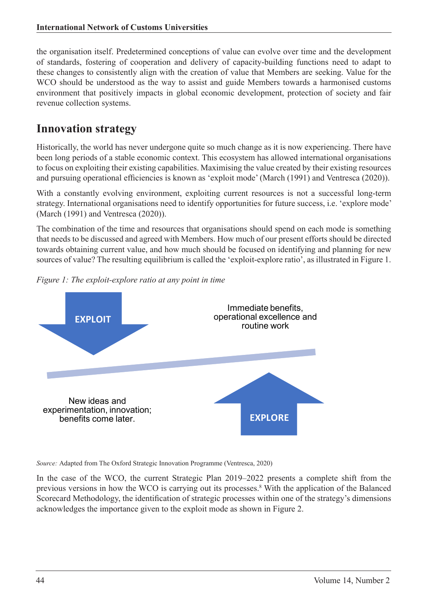the organisation itself. Predetermined conceptions of value can evolve over time and the development of standards, fostering of cooperation and delivery of capacity-building functions need to adapt to these changes to consistently align with the creation of value that Members are seeking. Value for the WCO should be understood as the way to assist and guide Members towards a harmonised customs environment that positively impacts in global economic development, protection of society and fair revenue collection systems.

#### **Innovation strategy**

Historically, the world has never undergone quite so much change as it is now experiencing. There have been long periods of a stable economic context. This ecosystem has allowed international organisations to focus on exploiting their existing capabilities. Maximising the value created by their existing resources and pursuing operational efficiencies is known as 'exploit mode' (March (1991) and Ventresca (2020)).

With a constantly evolving environment, exploiting current resources is not a successful long-term strategy. International organisations need to identify opportunities for future success, i.e. 'explore mode' (March (1991) and Ventresca (2020)).

The combination of the time and resources that organisations should spend on each mode is something that needs to be discussed and agreed with Members. How much of our present efforts should be directed towards obtaining current value, and how much should be focused on identifying and planning for new sources of value? The resulting equilibrium is called the 'exploit-explore ratio', as illustrated in Figure 1.





*Source:* Adapted from The Oxford Strategic Innovation Programme (Ventresca, 2020)

In the case of the WCO, the current Strategic Plan 2019–2022 presents a complete shift from the previous versions in how the WCO is carrying out its processes.<sup>8</sup> With the application of the Balanced Scorecard Methodology, the identification of strategic processes within one of the strategy's dimensions acknowledges the importance given to the exploit mode as shown in Figure 2.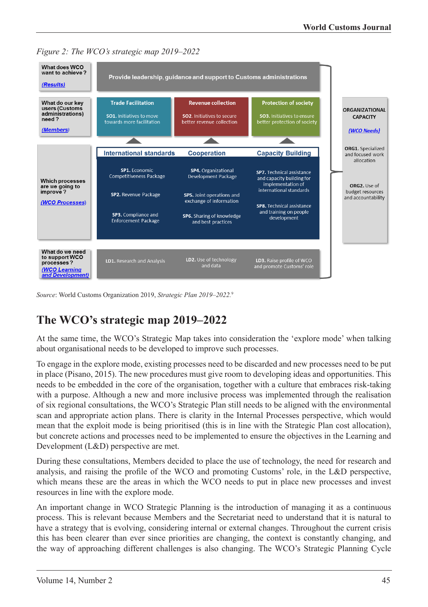



*Source*: World Customs Organization 2019, *Strategic Plan 2019–2022.*<sup>9</sup>

# **The WCO's strategic map 2019–2022**

At the same time, the WCO's Strategic Map takes into consideration the 'explore mode' when talking about organisational needs to be developed to improve such processes.

To engage in the explore mode, existing processes need to be discarded and new processes need to be put in place (Pisano, 2015). The new procedures must give room to developing ideas and opportunities. This needs to be embedded in the core of the organisation, together with a culture that embraces risk-taking with a purpose. Although a new and more inclusive process was implemented through the realisation of six regional consultations, the WCO's Strategic Plan still needs to be aligned with the environmental scan and appropriate action plans. There is clarity in the Internal Processes perspective, which would mean that the exploit mode is being prioritised (this is in line with the Strategic Plan cost allocation), but concrete actions and processes need to be implemented to ensure the objectives in the Learning and Development (L&D) perspective are met.

During these consultations, Members decided to place the use of technology, the need for research and analysis, and raising the profile of the WCO and promoting Customs' role, in the L&D perspective, which means these are the areas in which the WCO needs to put in place new processes and invest resources in line with the explore mode.

An important change in WCO Strategic Planning is the introduction of managing it as a continuous process. This is relevant because Members and the Secretariat need to understand that it is natural to have a strategy that is evolving, considering internal or external changes. Throughout the current crisis this has been clearer than ever since priorities are changing, the context is constantly changing, and the way of approaching different challenges is also changing. The WCO's Strategic Planning Cycle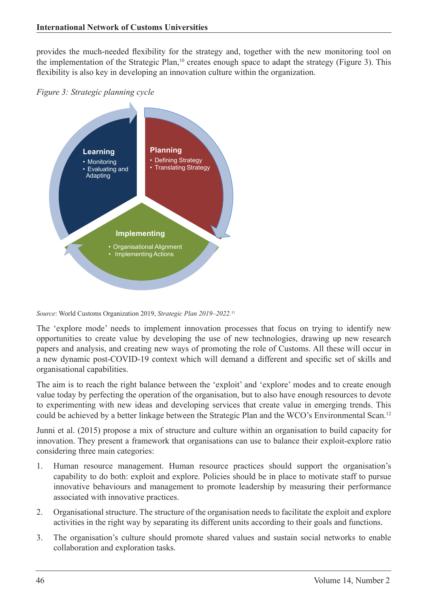provides the much-needed flexibility for the strategy and, together with the new monitoring tool on the implementation of the Strategic Plan,10 creates enough space to adapt the strategy (Figure 3). This flexibility is also key in developing an innovation culture within the organization.





*Source*: World Customs Organization 2019, *Strategic Plan 2019–2022.*<sup>11</sup>

The 'explore mode' needs to implement innovation processes that focus on trying to identify new opportunities to create value by developing the use of new technologies, drawing up new research papers and analysis, and creating new ways of promoting the role of Customs. All these will occur in a new dynamic post-COVID-19 context which will demand a different and specific set of skills and organisational capabilities.

The aim is to reach the right balance between the 'exploit' and 'explore' modes and to create enough value today by perfecting the operation of the organisation, but to also have enough resources to devote to experimenting with new ideas and developing services that create value in emerging trends. This could be achieved by a better linkage between the Strategic Plan and the WCO's Environmental Scan.<sup>12</sup>

Junni et al. (2015) propose a mix of structure and culture within an organisation to build capacity for innovation. They present a framework that organisations can use to balance their exploit-explore ratio considering three main categories:

- 1. Human resource management. Human resource practices should support the organisation's capability to do both: exploit and explore. Policies should be in place to motivate staff to pursue innovative behaviours and management to promote leadership by measuring their performance associated with innovative practices.
- 2. Organisational structure. The structure of the organisation needs to facilitate the exploit and explore activities in the right way by separating its different units according to their goals and functions.
- 3. The organisation's culture should promote shared values and sustain social networks to enable collaboration and exploration tasks.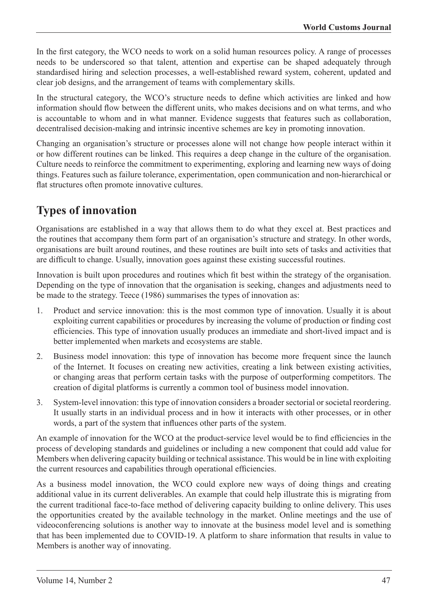In the first category, the WCO needs to work on a solid human resources policy. A range of processes needs to be underscored so that talent, attention and expertise can be shaped adequately through standardised hiring and selection processes, a well-established reward system, coherent, updated and clear job designs, and the arrangement of teams with complementary skills.

In the structural category, the WCO's structure needs to define which activities are linked and how information should flow between the different units, who makes decisions and on what terms, and who is accountable to whom and in what manner. Evidence suggests that features such as collaboration, decentralised decision-making and intrinsic incentive schemes are key in promoting innovation.

Changing an organisation's structure or processes alone will not change how people interact within it or how different routines can be linked. This requires a deep change in the culture of the organisation. Culture needs to reinforce the commitment to experimenting, exploring and learning new ways of doing things. Features such as failure tolerance, experimentation, open communication and non-hierarchical or flat structures often promote innovative cultures.

# **Types of innovation**

Organisations are established in a way that allows them to do what they excel at. Best practices and the routines that accompany them form part of an organisation's structure and strategy. In other words, organisations are built around routines, and these routines are built into sets of tasks and activities that are difficult to change. Usually, innovation goes against these existing successful routines.

Innovation is built upon procedures and routines which fit best within the strategy of the organisation. Depending on the type of innovation that the organisation is seeking, changes and adjustments need to be made to the strategy. Teece (1986) summarises the types of innovation as:

- 1. Product and service innovation: this is the most common type of innovation. Usually it is about exploiting current capabilities or procedures by increasing the volume of production or finding cost efficiencies. This type of innovation usually produces an immediate and short-lived impact and is better implemented when markets and ecosystems are stable.
- 2. Business model innovation: this type of innovation has become more frequent since the launch of the Internet. It focuses on creating new activities, creating a link between existing activities, or changing areas that perform certain tasks with the purpose of outperforming competitors. The creation of digital platforms is currently a common tool of business model innovation.
- 3. System-level innovation: this type of innovation considers a broader sectorial or societal reordering. It usually starts in an individual process and in how it interacts with other processes, or in other words, a part of the system that influences other parts of the system.

An example of innovation for the WCO at the product-service level would be to find efficiencies in the process of developing standards and guidelines or including a new component that could add value for Members when delivering capacity building or technical assistance. This would be in line with exploiting the current resources and capabilities through operational efficiencies.

As a business model innovation, the WCO could explore new ways of doing things and creating additional value in its current deliverables. An example that could help illustrate this is migrating from the current traditional face-to-face method of delivering capacity building to online delivery. This uses the opportunities created by the available technology in the market. Online meetings and the use of videoconferencing solutions is another way to innovate at the business model level and is something that has been implemented due to COVID-19. A platform to share information that results in value to Members is another way of innovating.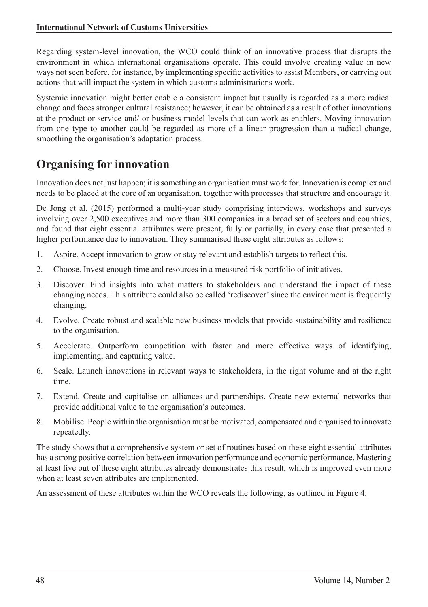Regarding system-level innovation, the WCO could think of an innovative process that disrupts the environment in which international organisations operate. This could involve creating value in new ways not seen before, for instance, by implementing specific activities to assist Members, or carrying out actions that will impact the system in which customs administrations work.

Systemic innovation might better enable a consistent impact but usually is regarded as a more radical change and faces stronger cultural resistance; however, it can be obtained as a result of other innovations at the product or service and/ or business model levels that can work as enablers. Moving innovation from one type to another could be regarded as more of a linear progression than a radical change, smoothing the organisation's adaptation process.

# **Organising for innovation**

Innovation does not just happen; it is something an organisation must work for. Innovation is complex and needs to be placed at the core of an organisation, together with processes that structure and encourage it.

De Jong et al. (2015) performed a multi-year study comprising interviews, workshops and surveys involving over 2,500 executives and more than 300 companies in a broad set of sectors and countries, and found that eight essential attributes were present, fully or partially, in every case that presented a higher performance due to innovation. They summarised these eight attributes as follows:

- 1. Aspire. Accept innovation to grow or stay relevant and establish targets to reflect this.
- 2. Choose. Invest enough time and resources in a measured risk portfolio of initiatives.
- 3. Discover. Find insights into what matters to stakeholders and understand the impact of these changing needs. This attribute could also be called 'rediscover' since the environment is frequently changing.
- 4. Evolve. Create robust and scalable new business models that provide sustainability and resilience to the organisation.
- 5. Accelerate. Outperform competition with faster and more effective ways of identifying, implementing, and capturing value.
- 6. Scale. Launch innovations in relevant ways to stakeholders, in the right volume and at the right time.
- 7. Extend. Create and capitalise on alliances and partnerships. Create new external networks that provide additional value to the organisation's outcomes.
- 8. Mobilise. People within the organisation must be motivated, compensated and organised to innovate repeatedly.

The study shows that a comprehensive system or set of routines based on these eight essential attributes has a strong positive correlation between innovation performance and economic performance. Mastering at least five out of these eight attributes already demonstrates this result, which is improved even more when at least seven attributes are implemented.

An assessment of these attributes within the WCO reveals the following, as outlined in Figure 4.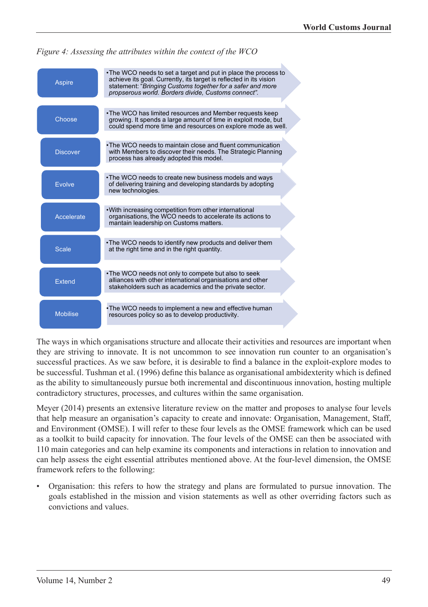

*Figure 4: Assessing the attributes within the context of the WCO*

The ways in which organisations structure and allocate their activities and resources are important when they are striving to innovate. It is not uncommon to see innovation run counter to an organisation's successful practices. As we saw before, it is desirable to find a balance in the exploit-explore modes to be successful. Tushman et al. (1996) define this balance as organisational ambidexterity which is defined as the ability to simultaneously pursue both incremental and discontinuous innovation, hosting multiple contradictory structures, processes, and cultures within the same organisation.

Meyer (2014) presents an extensive literature review on the matter and proposes to analyse four levels that help measure an organisation's capacity to create and innovate: Organisation, Management, Staff, and Environment (OMSE). I will refer to these four levels as the OMSE framework which can be used as a toolkit to build capacity for innovation. The four levels of the OMSE can then be associated with 110 main categories and can help examine its components and interactions in relation to innovation and can help assess the eight essential attributes mentioned above. At the four-level dimension, the OMSE framework refers to the following:

• Organisation: this refers to how the strategy and plans are formulated to pursue innovation. The goals established in the mission and vision statements as well as other overriding factors such as convictions and values.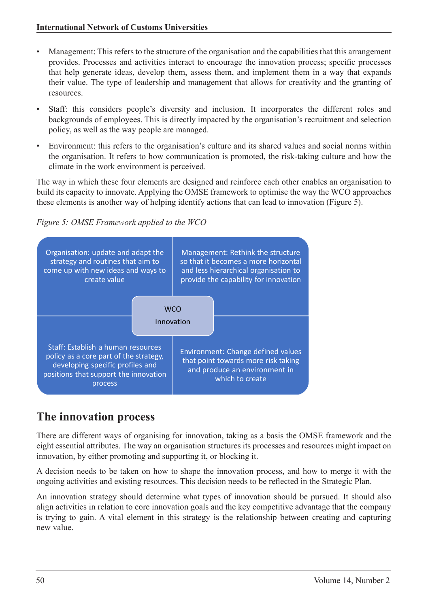- Management: This refers to the structure of the organisation and the capabilities that this arrangement provides. Processes and activities interact to encourage the innovation process; specific processes that help generate ideas, develop them, assess them, and implement them in a way that expands their value. The type of leadership and management that allows for creativity and the granting of resources.
- Staff: this considers people's diversity and inclusion. It incorporates the different roles and backgrounds of employees. This is directly impacted by the organisation's recruitment and selection policy, as well as the way people are managed.
- Environment: this refers to the organisation's culture and its shared values and social norms within the organisation. It refers to how communication is promoted, the risk-taking culture and how the climate in the work environment is perceived.

The way in which these four elements are designed and reinforce each other enables an organisation to build its capacity to innovate. Applying the OMSE framework to optimise the way the WCO approaches these elements is another way of helping identify actions that can lead to innovation (Figure 5).





# **The innovation process**

There are different ways of organising for innovation, taking as a basis the OMSE framework and the eight essential attributes. The way an organisation structures its processes and resources might impact on innovation, by either promoting and supporting it, or blocking it.

A decision needs to be taken on how to shape the innovation process, and how to merge it with the ongoing activities and existing resources. This decision needs to be reflected in the Strategic Plan.

An innovation strategy should determine what types of innovation should be pursued. It should also align activities in relation to core innovation goals and the key competitive advantage that the company is trying to gain. A vital element in this strategy is the relationship between creating and capturing new value.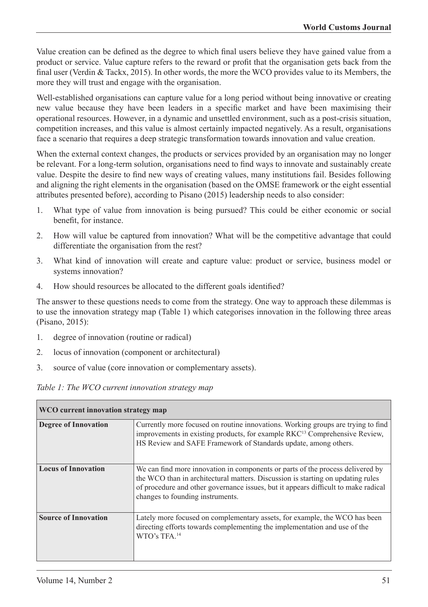Value creation can be defined as the degree to which final users believe they have gained value from a product or service. Value capture refers to the reward or profit that the organisation gets back from the final user (Verdin & Tackx, 2015). In other words, the more the WCO provides value to its Members, the more they will trust and engage with the organisation.

Well-established organisations can capture value for a long period without being innovative or creating new value because they have been leaders in a specific market and have been maximising their operational resources. However, in a dynamic and unsettled environment, such as a post-crisis situation, competition increases, and this value is almost certainly impacted negatively. As a result, organisations face a scenario that requires a deep strategic transformation towards innovation and value creation.

When the external context changes, the products or services provided by an organisation may no longer be relevant. For a long-term solution, organisations need to find ways to innovate and sustainably create value. Despite the desire to find new ways of creating values, many institutions fail. Besides following and aligning the right elements in the organisation (based on the OMSE framework or the eight essential attributes presented before), according to Pisano (2015) leadership needs to also consider:

- 1. What type of value from innovation is being pursued? This could be either economic or social benefit, for instance.
- 2. How will value be captured from innovation? What will be the competitive advantage that could differentiate the organisation from the rest?
- 3. What kind of innovation will create and capture value: product or service, business model or systems innovation?
- 4. How should resources be allocated to the different goals identified?

The answer to these questions needs to come from the strategy. One way to approach these dilemmas is to use the innovation strategy map (Table 1) which categorises innovation in the following three areas (Pisano, 2015):

- 1. degree of innovation (routine or radical)
- 2. locus of innovation (component or architectural)
- 3. source of value (core innovation or complementary assets).

| Table 1: The WCO current innovation strategy map |  |  |  |
|--------------------------------------------------|--|--|--|
|--------------------------------------------------|--|--|--|

| WCO current innovation strategy map |                                                                                                                                                                                                                                                                                             |  |  |
|-------------------------------------|---------------------------------------------------------------------------------------------------------------------------------------------------------------------------------------------------------------------------------------------------------------------------------------------|--|--|
| <b>Degree of Innovation</b>         | Currently more focused on routine innovations. Working groups are trying to find<br>improvements in existing products, for example RKC <sup>13</sup> Comprehensive Review,<br>HS Review and SAFE Framework of Standards update, among others.                                               |  |  |
| <b>Locus of Innovation</b>          | We can find more innovation in components or parts of the process delivered by<br>the WCO than in architectural matters. Discussion is starting on updating rules<br>of procedure and other governance issues, but it appears difficult to make radical<br>changes to founding instruments. |  |  |
| <b>Source of Innovation</b>         | Lately more focused on complementary assets, for example, the WCO has been<br>directing efforts towards complementing the implementation and use of the<br>WTO's TFA. <sup>14</sup>                                                                                                         |  |  |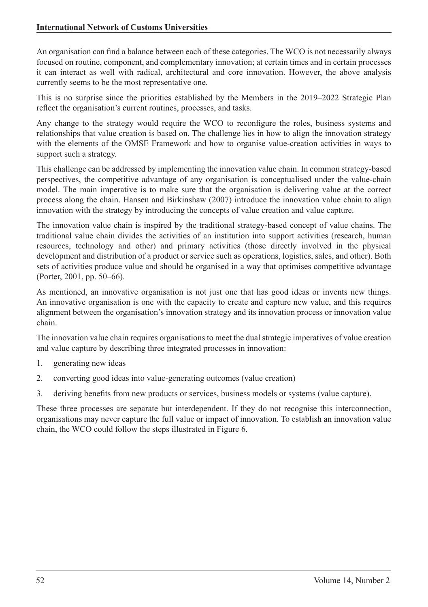An organisation can find a balance between each of these categories. The WCO is not necessarily always focused on routine, component, and complementary innovation; at certain times and in certain processes it can interact as well with radical, architectural and core innovation. However, the above analysis currently seems to be the most representative one.

This is no surprise since the priorities established by the Members in the 2019–2022 Strategic Plan reflect the organisation's current routines, processes, and tasks.

Any change to the strategy would require the WCO to reconfigure the roles, business systems and relationships that value creation is based on. The challenge lies in how to align the innovation strategy with the elements of the OMSE Framework and how to organise value-creation activities in ways to support such a strategy.

This challenge can be addressed by implementing the innovation value chain. In common strategy-based perspectives, the competitive advantage of any organisation is conceptualised under the value-chain model. The main imperative is to make sure that the organisation is delivering value at the correct process along the chain. Hansen and Birkinshaw (2007) introduce the innovation value chain to align innovation with the strategy by introducing the concepts of value creation and value capture.

The innovation value chain is inspired by the traditional strategy-based concept of value chains. The traditional value chain divides the activities of an institution into support activities (research, human resources, technology and other) and primary activities (those directly involved in the physical development and distribution of a product or service such as operations, logistics, sales, and other). Both sets of activities produce value and should be organised in a way that optimises competitive advantage (Porter, 2001, pp. 50–66).

As mentioned, an innovative organisation is not just one that has good ideas or invents new things. An innovative organisation is one with the capacity to create and capture new value, and this requires alignment between the organisation's innovation strategy and its innovation process or innovation value chain.

The innovation value chain requires organisations to meet the dual strategic imperatives of value creation and value capture by describing three integrated processes in innovation:

- 1. generating new ideas
- 2. converting good ideas into value-generating outcomes (value creation)
- 3. deriving benefits from new products or services, business models or systems (value capture).

These three processes are separate but interdependent. If they do not recognise this interconnection, organisations may never capture the full value or impact of innovation. To establish an innovation value chain, the WCO could follow the steps illustrated in Figure 6.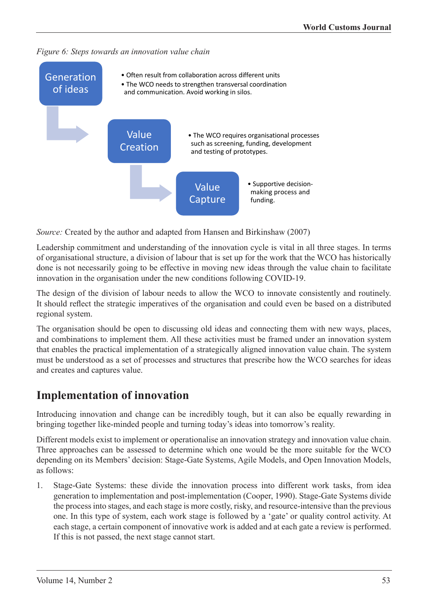*Figure 6: Steps towards an innovation value chain*



*Source:* Created by the author and adapted from Hansen and Birkinshaw (2007)

Leadership commitment and understanding of the innovation cycle is vital in all three stages. In terms of organisational structure, a division of labour that is set up for the work that the WCO has historically done is not necessarily going to be effective in moving new ideas through the value chain to facilitate innovation in the organisation under the new conditions following COVID-19.

The design of the division of labour needs to allow the WCO to innovate consistently and routinely. It should reflect the strategic imperatives of the organisation and could even be based on a distributed regional system.

The organisation should be open to discussing old ideas and connecting them with new ways, places, and combinations to implement them. All these activities must be framed under an innovation system that enables the practical implementation of a strategically aligned innovation value chain. The system must be understood as a set of processes and structures that prescribe how the WCO searches for ideas and creates and captures value.

#### **Implementation of innovation**

Introducing innovation and change can be incredibly tough, but it can also be equally rewarding in bringing together like-minded people and turning today's ideas into tomorrow's reality.

Different models exist to implement or operationalise an innovation strategy and innovation value chain. Three approaches can be assessed to determine which one would be the more suitable for the WCO depending on its Members' decision: Stage-Gate Systems, Agile Models, and Open Innovation Models, as follows:

1. Stage-Gate Systems: these divide the innovation process into different work tasks, from idea generation to implementation and post-implementation (Cooper, 1990). Stage-Gate Systems divide the process into stages, and each stage is more costly, risky, and resource-intensive than the previous one. In this type of system, each work stage is followed by a 'gate' or quality control activity. At each stage, a certain component of innovative work is added and at each gate a review is performed. If this is not passed, the next stage cannot start.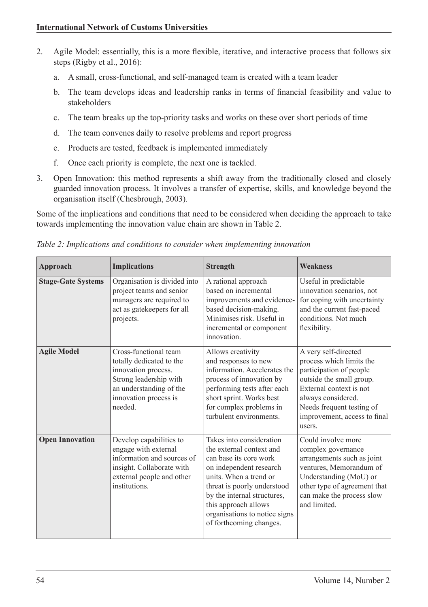- 2. Agile Model: essentially, this is a more flexible, iterative, and interactive process that follows six steps (Rigby et al., 2016):
	- a. A small, cross-functional, and self-managed team is created with a team leader
	- b. The team develops ideas and leadership ranks in terms of financial feasibility and value to stakeholders
	- c. The team breaks up the top-priority tasks and works on these over short periods of time
	- d. The team convenes daily to resolve problems and report progress
	- e. Products are tested, feedback is implemented immediately
	- f. Once each priority is complete, the next one is tackled.
- 3. Open Innovation: this method represents a shift away from the traditionally closed and closely guarded innovation process. It involves a transfer of expertise, skills, and knowledge beyond the organisation itself (Chesbrough, 2003).

Some of the implications and conditions that need to be considered when deciding the approach to take towards implementing the innovation value chain are shown in Table 2.

| Approach                  | <b>Implications</b>                                                                                                                                               | <b>Strength</b>                                                                                                                                                                                                                                                                       | <b>Weakness</b>                                                                                                                                                                                                                 |
|---------------------------|-------------------------------------------------------------------------------------------------------------------------------------------------------------------|---------------------------------------------------------------------------------------------------------------------------------------------------------------------------------------------------------------------------------------------------------------------------------------|---------------------------------------------------------------------------------------------------------------------------------------------------------------------------------------------------------------------------------|
| <b>Stage-Gate Systems</b> | Organisation is divided into<br>project teams and senior<br>managers are required to<br>act as gatekeepers for all<br>projects.                                   | A rational approach<br>based on incremental<br>improvements and evidence-<br>based decision-making.<br>Minimises risk. Useful in<br>incremental or component<br>innovation.                                                                                                           | Useful in predictable<br>innovation scenarios, not<br>for coping with uncertainty<br>and the current fast-paced<br>conditions. Not much<br>flexibility.                                                                         |
| <b>Agile Model</b>        | Cross-functional team<br>totally dedicated to the<br>innovation process.<br>Strong leadership with<br>an understanding of the<br>innovation process is<br>needed. | Allows creativity<br>and responses to new<br>information. Accelerates the<br>process of innovation by<br>performing tests after each<br>short sprint. Works best<br>for complex problems in<br>turbulent environments.                                                                | A very self-directed<br>process which limits the<br>participation of people<br>outside the small group.<br>External context is not<br>always considered.<br>Needs frequent testing of<br>improvement, access to final<br>users. |
| <b>Open Innovation</b>    | Develop capabilities to<br>engage with external<br>information and sources of<br>insight. Collaborate with<br>external people and other<br>institutions.          | Takes into consideration<br>the external context and<br>can base its core work<br>on independent research<br>units. When a trend or<br>threat is poorly understood<br>by the internal structures,<br>this approach allows<br>organisations to notice signs<br>of forthcoming changes. | Could involve more<br>complex governance<br>arrangements such as joint<br>ventures, Memorandum of<br>Understanding (MoU) or<br>other type of agreement that<br>can make the process slow<br>and limited.                        |

*Table 2: Implications and conditions to consider when implementing innovation*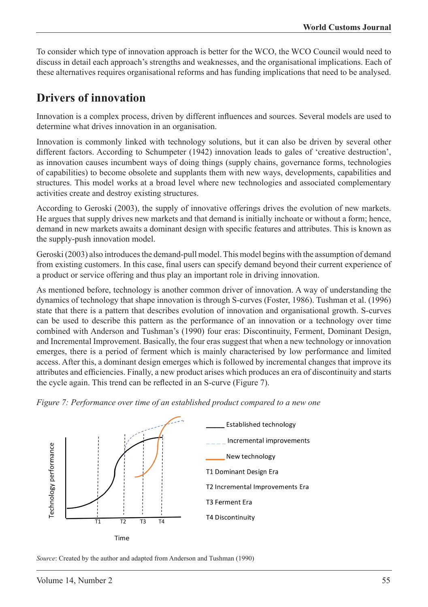To consider which type of innovation approach is better for the WCO, the WCO Council would need to discuss in detail each approach's strengths and weaknesses, and the organisational implications. Each of these alternatives requires organisational reforms and has funding implications that need to be analysed.

#### **Drivers of innovation**

Innovation is a complex process, driven by different influences and sources. Several models are used to determine what drives innovation in an organisation.

Innovation is commonly linked with technology solutions, but it can also be driven by several other different factors. According to Schumpeter (1942) innovation leads to gales of 'creative destruction', as innovation causes incumbent ways of doing things (supply chains, governance forms, technologies of capabilities) to become obsolete and supplants them with new ways, developments, capabilities and structures. This model works at a broad level where new technologies and associated complementary activities create and destroy existing structures.

According to Geroski (2003), the supply of innovative offerings drives the evolution of new markets. He argues that supply drives new markets and that demand is initially inchoate or without a form; hence, demand in new markets awaits a dominant design with specific features and attributes. This is known as the supply-push innovation model.

Geroski (2003) also introduces the demand-pull model. This model begins with the assumption of demand from existing customers. In this case, final users can specify demand beyond their current experience of a product or service offering and thus play an important role in driving innovation.

As mentioned before, technology is another common driver of innovation. A way of understanding the dynamics of technology that shape innovation is through S-curves (Foster, 1986). Tushman et al. (1996) state that there is a pattern that describes evolution of innovation and organisational growth. S-curves can be used to describe this pattern as the performance of an innovation or a technology over time combined with Anderson and Tushman's (1990) four eras: Discontinuity, Ferment, Dominant Design, and Incremental Improvement. Basically, the four eras suggest that when a new technology or innovation emerges, there is a period of ferment which is mainly characterised by low performance and limited access. After this, a dominant design emerges which is followed by incremental changes that improve its attributes and efficiencies. Finally, a new product arises which produces an era of discontinuity and starts the cycle again. This trend can be reflected in an S-curve (Figure 7).





*Source*: Created by the author and adapted from Anderson and Tushman (1990)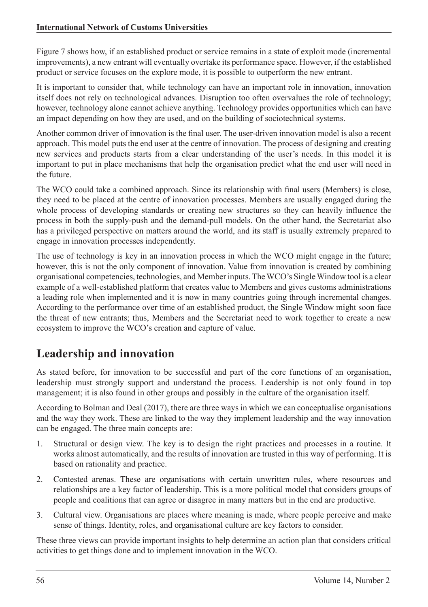Figure 7 shows how, if an established product or service remains in a state of exploit mode (incremental improvements), a new entrant will eventually overtake its performance space. However, if the established product or service focuses on the explore mode, it is possible to outperform the new entrant.

It is important to consider that, while technology can have an important role in innovation, innovation itself does not rely on technological advances. Disruption too often overvalues the role of technology; however, technology alone cannot achieve anything. Technology provides opportunities which can have an impact depending on how they are used, and on the building of sociotechnical systems.

Another common driver of innovation is the final user. The user-driven innovation model is also a recent approach. This model puts the end user at the centre of innovation. The process of designing and creating new services and products starts from a clear understanding of the user's needs. In this model it is important to put in place mechanisms that help the organisation predict what the end user will need in the future.

The WCO could take a combined approach. Since its relationship with final users (Members) is close, they need to be placed at the centre of innovation processes. Members are usually engaged during the whole process of developing standards or creating new structures so they can heavily influence the process in both the supply-push and the demand-pull models. On the other hand, the Secretariat also has a privileged perspective on matters around the world, and its staff is usually extremely prepared to engage in innovation processes independently.

The use of technology is key in an innovation process in which the WCO might engage in the future; however, this is not the only component of innovation. Value from innovation is created by combining organisational competencies, technologies, and Member inputs. The WCO's Single Window tool is a clear example of a well-established platform that creates value to Members and gives customs administrations a leading role when implemented and it is now in many countries going through incremental changes. According to the performance over time of an established product, the Single Window might soon face the threat of new entrants; thus, Members and the Secretariat need to work together to create a new ecosystem to improve the WCO's creation and capture of value.

# **Leadership and innovation**

As stated before, for innovation to be successful and part of the core functions of an organisation, leadership must strongly support and understand the process. Leadership is not only found in top management; it is also found in other groups and possibly in the culture of the organisation itself.

According to Bolman and Deal (2017), there are three ways in which we can conceptualise organisations and the way they work. These are linked to the way they implement leadership and the way innovation can be engaged. The three main concepts are:

- 1. Structural or design view. The key is to design the right practices and processes in a routine. It works almost automatically, and the results of innovation are trusted in this way of performing. It is based on rationality and practice.
- 2. Contested arenas. These are organisations with certain unwritten rules, where resources and relationships are a key factor of leadership. This is a more political model that considers groups of people and coalitions that can agree or disagree in many matters but in the end are productive.
- 3. Cultural view. Organisations are places where meaning is made, where people perceive and make sense of things. Identity, roles, and organisational culture are key factors to consider.

These three views can provide important insights to help determine an action plan that considers critical activities to get things done and to implement innovation in the WCO.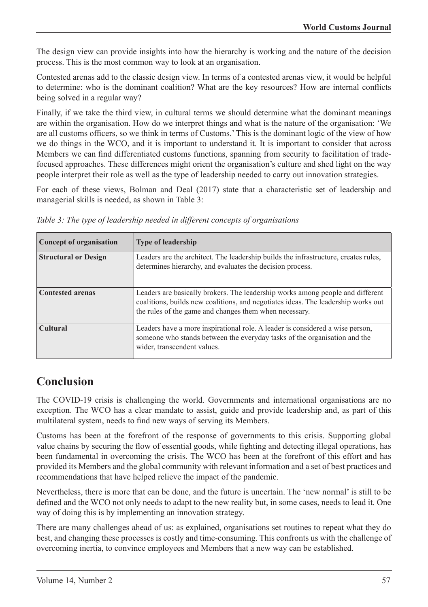The design view can provide insights into how the hierarchy is working and the nature of the decision process. This is the most common way to look at an organisation.

Contested arenas add to the classic design view. In terms of a contested arenas view, it would be helpful to determine: who is the dominant coalition? What are the key resources? How are internal conflicts being solved in a regular way?

Finally, if we take the third view, in cultural terms we should determine what the dominant meanings are within the organisation. How do we interpret things and what is the nature of the organisation: 'We are all customs officers, so we think in terms of Customs.' This is the dominant logic of the view of how we do things in the WCO, and it is important to understand it. It is important to consider that across Members we can find differentiated customs functions, spanning from security to facilitation of tradefocused approaches. These differences might orient the organisation's culture and shed light on the way people interpret their role as well as the type of leadership needed to carry out innovation strategies.

For each of these views, Bolman and Deal (2017) state that a characteristic set of leadership and managerial skills is needed, as shown in Table 3:

| Concept of organisation     | <b>Type of leadership</b>                                                                                                                                                                                                     |
|-----------------------------|-------------------------------------------------------------------------------------------------------------------------------------------------------------------------------------------------------------------------------|
| <b>Structural or Design</b> | Leaders are the architect. The leadership builds the infrastructure, creates rules,<br>determines hierarchy, and evaluates the decision process.                                                                              |
| <b>Contested arenas</b>     | Leaders are basically brokers. The leadership works among people and different<br>coalitions, builds new coalitions, and negotiates ideas. The leadership works out<br>the rules of the game and changes them when necessary. |
| <b>Cultural</b>             | Leaders have a more inspirational role. A leader is considered a wise person,<br>someone who stands between the everyday tasks of the organisation and the<br>wider, transcendent values.                                     |

*Table 3: The type of leadership needed in different concepts of organisations*

# **Conclusion**

The COVID-19 crisis is challenging the world. Governments and international organisations are no exception. The WCO has a clear mandate to assist, guide and provide leadership and, as part of this multilateral system, needs to find new ways of serving its Members.

Customs has been at the forefront of the response of governments to this crisis. Supporting global value chains by securing the flow of essential goods, while fighting and detecting illegal operations, has been fundamental in overcoming the crisis. The WCO has been at the forefront of this effort and has provided its Members and the global community with relevant information and a set of best practices and recommendations that have helped relieve the impact of the pandemic.

Nevertheless, there is more that can be done, and the future is uncertain. The 'new normal' is still to be defined and the WCO not only needs to adapt to the new reality but, in some cases, needs to lead it. One way of doing this is by implementing an innovation strategy.

There are many challenges ahead of us: as explained, organisations set routines to repeat what they do best, and changing these processes is costly and time-consuming. This confronts us with the challenge of overcoming inertia, to convince employees and Members that a new way can be established.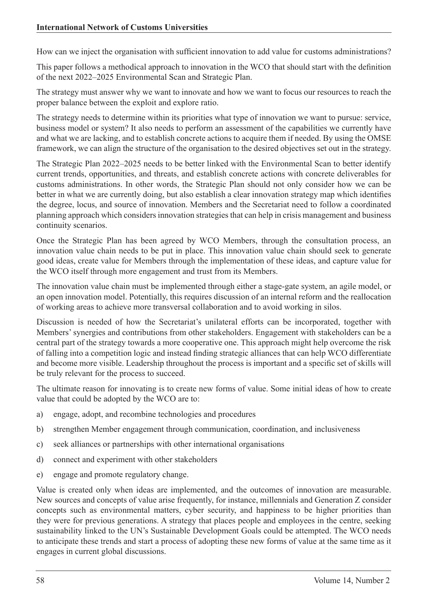How can we inject the organisation with sufficient innovation to add value for customs administrations?

This paper follows a methodical approach to innovation in the WCO that should start with the definition of the next 2022–2025 Environmental Scan and Strategic Plan.

The strategy must answer why we want to innovate and how we want to focus our resources to reach the proper balance between the exploit and explore ratio.

The strategy needs to determine within its priorities what type of innovation we want to pursue: service, business model or system? It also needs to perform an assessment of the capabilities we currently have and what we are lacking, and to establish concrete actions to acquire them if needed. By using the OMSE framework, we can align the structure of the organisation to the desired objectives set out in the strategy.

The Strategic Plan 2022–2025 needs to be better linked with the Environmental Scan to better identify current trends, opportunities, and threats, and establish concrete actions with concrete deliverables for customs administrations. In other words, the Strategic Plan should not only consider how we can be better in what we are currently doing, but also establish a clear innovation strategy map which identifies the degree, locus, and source of innovation. Members and the Secretariat need to follow a coordinated planning approach which considers innovation strategies that can help in crisis management and business continuity scenarios.

Once the Strategic Plan has been agreed by WCO Members, through the consultation process, an innovation value chain needs to be put in place. This innovation value chain should seek to generate good ideas, create value for Members through the implementation of these ideas, and capture value for the WCO itself through more engagement and trust from its Members.

The innovation value chain must be implemented through either a stage-gate system, an agile model, or an open innovation model. Potentially, this requires discussion of an internal reform and the reallocation of working areas to achieve more transversal collaboration and to avoid working in silos.

Discussion is needed of how the Secretariat's unilateral efforts can be incorporated, together with Members' synergies and contributions from other stakeholders. Engagement with stakeholders can be a central part of the strategy towards a more cooperative one. This approach might help overcome the risk of falling into a competition logic and instead finding strategic alliances that can help WCO differentiate and become more visible. Leadership throughout the process is important and a specific set of skills will be truly relevant for the process to succeed.

The ultimate reason for innovating is to create new forms of value. Some initial ideas of how to create value that could be adopted by the WCO are to:

- a) engage, adopt, and recombine technologies and procedures
- b) strengthen Member engagement through communication, coordination, and inclusiveness
- c) seek alliances or partnerships with other international organisations
- d) connect and experiment with other stakeholders
- e) engage and promote regulatory change.

Value is created only when ideas are implemented, and the outcomes of innovation are measurable. New sources and concepts of value arise frequently, for instance, millennials and Generation Z consider concepts such as environmental matters, cyber security, and happiness to be higher priorities than they were for previous generations. A strategy that places people and employees in the centre, seeking sustainability linked to the UN's Sustainable Development Goals could be attempted. The WCO needs to anticipate these trends and start a process of adopting these new forms of value at the same time as it engages in current global discussions.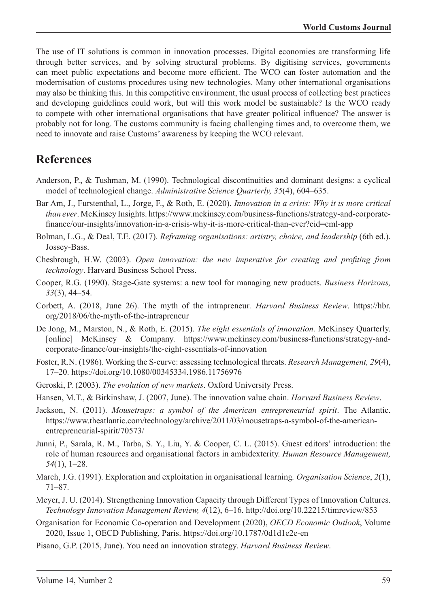The use of IT solutions is common in innovation processes. Digital economies are transforming life through better services, and by solving structural problems. By digitising services, governments can meet public expectations and become more efficient. The WCO can foster automation and the modernisation of customs procedures using new technologies. Many other international organisations may also be thinking this. In this competitive environment, the usual process of collecting best practices and developing guidelines could work, but will this work model be sustainable? Is the WCO ready to compete with other international organisations that have greater political influence? The answer is probably not for long. The customs community is facing challenging times and, to overcome them, we need to innovate and raise Customs' awareness by keeping the WCO relevant.

#### **References**

- Anderson, P., & Tushman, M. (1990). Technological discontinuities and dominant designs: a cyclical model of technological change. *Administrative Science Quarterly, 35*(4), 604–635.
- Bar Am, J., Furstenthal, L., Jorge, F., & Roth, E. (2020). *Innovation in a crisis: Why it is more critical than ever*. McKinsey Insights. https://www.mckinsey.com/business-functions/strategy-and-corporatefinance/our-insights/innovation-in-a-crisis-why-it-is-more-critical-than-ever?cid=eml-app
- Bolman, L.G., & Deal, T.E. (2017). *Reframing organisations: artistry, choice, and leadership* (6th ed.). Jossey-Bass.
- Chesbrough, H.W. (2003). *Open innovation: the new imperative for creating and profiting from technology*. Harvard Business School Press.
- Cooper, R.G. (1990). Stage-Gate systems: a new tool for managing new products*. Business Horizons, 33*(3), 44–54.
- Corbett, A. (2018, June 26). The myth of the intrapreneur*. Harvard Business Review*. https://hbr. org/2018/06/the-myth-of-the-intrapreneur
- De Jong, M., Marston, N., & Roth, E. (2015). *The eight essentials of innovation.* McKinsey Quarterly. [online] McKinsey & Company. https://www.mckinsey.com/business-functions/strategy-andcorporate-finance/our-insights/the-eight-essentials-of-innovation
- Foster, R.N. (1986). Working the S-curve: assessing technological threats. *Research Management, 29*(4), 17–20. https://doi.org/10.1080/00345334.1986.11756976
- Geroski, P. (2003). *The evolution of new markets*. Oxford University Press.
- Hansen, M.T., & Birkinshaw, J. (2007, June). The innovation value chain. *Harvard Business Review*.
- Jackson, N. (2011). *Mousetraps: a symbol of the American entrepreneurial spirit*. The Atlantic. https://www.theatlantic.com/technology/archive/2011/03/mousetraps-a-symbol-of-the-americanentrepreneurial-spirit/70573/
- Junni, P., Sarala, R. M., Tarba, S. Y., Liu, Y. & Cooper, C. L. (2015). Guest editors' introduction: the role of human resources and organisational factors in ambidexterity. *Human Resource Management, 54*(1), 1–28.
- March, J.G. (1991). Exploration and exploitation in organisational learning*. Organisation Science*, *2*(1), 71–87.
- Meyer, J. U. (2014). Strengthening Innovation Capacity through Different Types of Innovation Cultures. *Technology Innovation Management Review, 4*(12), 6–16. http://doi.org/10.22215/timreview/853
- Organisation for Economic Co-operation and Development (2020), *OECD Economic Outlook*, Volume 2020, Issue 1, OECD Publishing, Paris. https://doi.org/10.1787/0d1d1e2e-en
- Pisano, G.P. (2015, June). You need an innovation strategy. *Harvard Business Review*.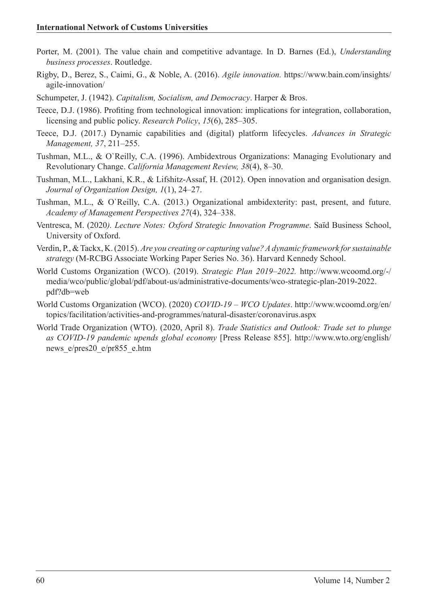- Porter, M. (2001). The value chain and competitive advantage. In D. Barnes (Ed.), *Understanding business processes*. Routledge.
- Rigby, D., Berez, S., Caimi, G., & Noble, A. (2016). *Agile innovation.* https://www.bain.com/insights/ agile-innovation/
- Schumpeter, J. (1942). *Capitalism, Socialism, and Democracy*. Harper & Bros.
- Teece, D.J. (1986). Profiting from technological innovation: implications for integration, collaboration, licensing and public policy. *Research Policy*, *15*(6), 285–305.
- Teece, D.J. (2017.) Dynamic capabilities and (digital) platform lifecycles. *Advances in Strategic Management, 37*, 211–255.
- Tushman, M.L., & O`Reilly, C.A. (1996). Ambidextrous Organizations: Managing Evolutionary and Revolutionary Change. *California Management Review, 38*(4), 8–30.
- Tushman, M.L., Lakhani, K.R., & Lifshitz-Assaf, H. (2012). Open innovation and organisation design. *Journal of Organization Design, 1*(1), 24–27.
- Tushman, M.L., & O`Reilly, C.A. (2013.) Organizational ambidexterity: past, present, and future. *Academy of Management Perspectives 27*(4), 324–338.
- Ventresca, M. (2020*). Lecture Notes: Oxford Strategic Innovation Programme*. Saïd Business School, University of Oxford.
- Verdin, P., & Tackx, K. (2015). *Are you creating or capturing value? A dynamic framework for sustainable strategy* (M-RCBG Associate Working Paper Series No. 36). Harvard Kennedy School.
- World Customs Organization (WCO). (2019). *Strategic Plan 2019–2022.* http://www.wcoomd.org/-/ media/wco/public/global/pdf/about-us/administrative-documents/wco-strategic-plan-2019-2022. pdf?db=web
- World Customs Organization (WCO). (2020) *COVID-19 WCO Updates*. http://www.wcoomd.org/en/ topics/facilitation/activities-and-programmes/natural-disaster/coronavirus.aspx
- World Trade Organization (WTO). (2020, April 8). *Trade Statistics and Outlook: Trade set to plunge as COVID-19 pandemic upends global economy* [Press Release 855]. http://www.wto.org/english/ news\_e/pres20\_e/pr855\_e.htm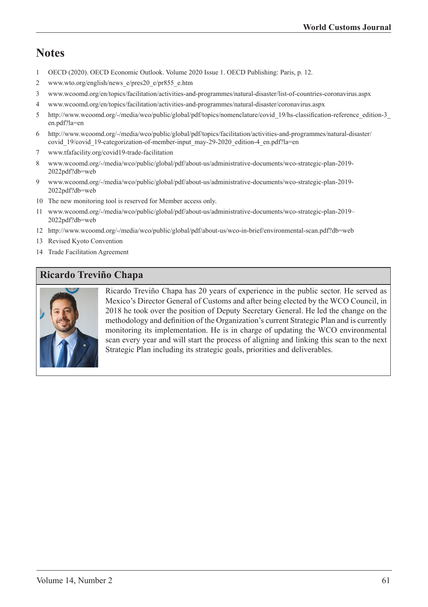# **Notes**

- 1 OECD (2020). OECD Economic Outlook. Volume 2020 Issue 1. OECD Publishing: Paris, p. 12.
- 2 www.wto.org/english/news\_e/pres20\_e/pr855\_e.htm
- 3 www.wcoomd.org/en/topics/facilitation/activities-and-programmes/natural-disaster/list-of-countries-coronavirus.aspx
- 4 www.wcoomd.org/en/topics/facilitation/activities-and-programmes/natural-disaster/coronavirus.aspx
- 5 http://www.wcoomd.org/-/media/wco/public/global/pdf/topics/nomenclature/covid\_19/hs-classification-reference\_edition-3\_ en.pdf?la=en
- 6 http://www.wcoomd.org/-/media/wco/public/global/pdf/topics/facilitation/activities-and-programmes/natural-disaster/ covid\_19/covid\_19-categorization-of-member-input\_may-29-2020\_edition-4\_en.pdf?la=en
- 7 www.tfafacility.org/covid19-trade-facilitation
- 8 www.wcoomd.org/-/media/wco/public/global/pdf/about-us/administrative-documents/wco-strategic-plan-2019- 2022pdf?db=web
- 9 www.wcoomd.org/-/media/wco/public/global/pdf/about-us/administrative-documents/wco-strategic-plan-2019- 2022pdf?db=web
- 10 The new monitoring tool is reserved for Member access only.
- 11 www.wcoomd.org/-/media/wco/public/global/pdf/about-us/administrative-documents/wco-strategic-plan-2019– 2022pdf?db=web
- 12 http://www.wcoomd.org/-/media/wco/public/global/pdf/about-us/wco-in-brief/environmental-scan.pdf?db=web
- 13 Revised Kyoto Convention
- 14 Trade Facilitation Agreement

#### **Ricardo Treviño Chapa**



Ricardo Treviño Chapa has 20 years of experience in the public sector. He served as Mexico's Director General of Customs and after being elected by the WCO Council, in 2018 he took over the position of Deputy Secretary General. He led the change on the methodology and definition of the Organization's current Strategic Plan and is currently monitoring its implementation. He is in charge of updating the WCO environmental scan every year and will start the process of aligning and linking this scan to the next Strategic Plan including its strategic goals, priorities and deliverables.